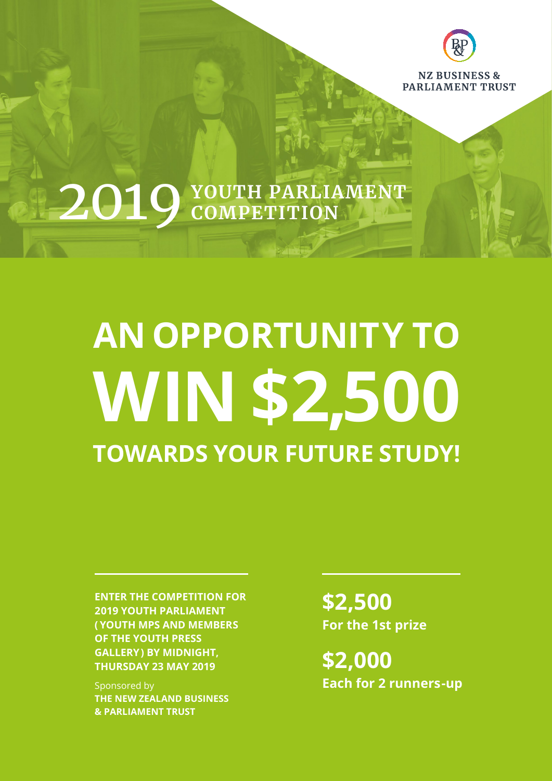

## **YOUTH PARLIAMENT** 2019**COMPETITION**

# **AN OPPORTUNITY TO TOWARDS YOUR FUTURE STUDY! WIN \$2,500**

**ENTER THE COMPETITION FOR 2019 YOUTH PARLIAMENT ( YOUTH MPS AND MEMBERS OF THE YOUTH PRESS GALLERY) BY MIDNIGHT, THURSDAY 23 MAY 2019**

Sponsored by **THE NEW ZEALAND BUSINESS & PARLIAMENT TRUST**

**\$2,500 For the 1st prize**

**\$2,000 Each for 2 runners-up**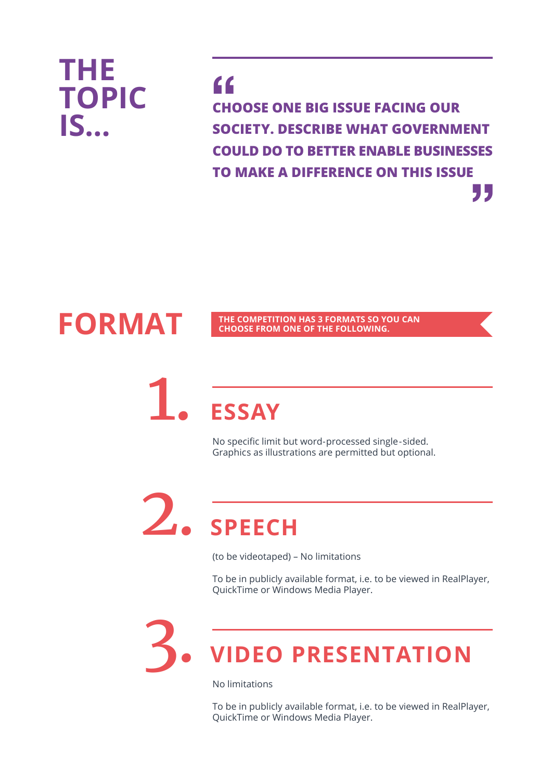

**FORMAT**

**CHOOSE ONE BIG ISSUE FACING OUR SOCIETY. DESCRIBE WHAT GOVERNMENT COULD DO TO BETTER ENABLE BUSINESSES TO MAKE A DIFFERENCE ON THIS ISSUE " "**

#### **THE COMPETITION HAS 3 FORMATS SO YOU CAN CHOOSE FROM ONE OF THE FOLLOWING.**

### **ESSAY** 1.

No specific limit but word-processed single-sided. Graphics as illustrations are permitted but optional.

### **SPEECH** 2.

(to be videotaped) – No limitations

To be in publicly available format, i.e. to be viewed in RealPlayer, QuickTime or Windows Media Player.

### **VIDEO PRESENTATION** 3.

No limitations

To be in publicly available format, i.e. to be viewed in RealPlayer, QuickTime or Windows Media Player.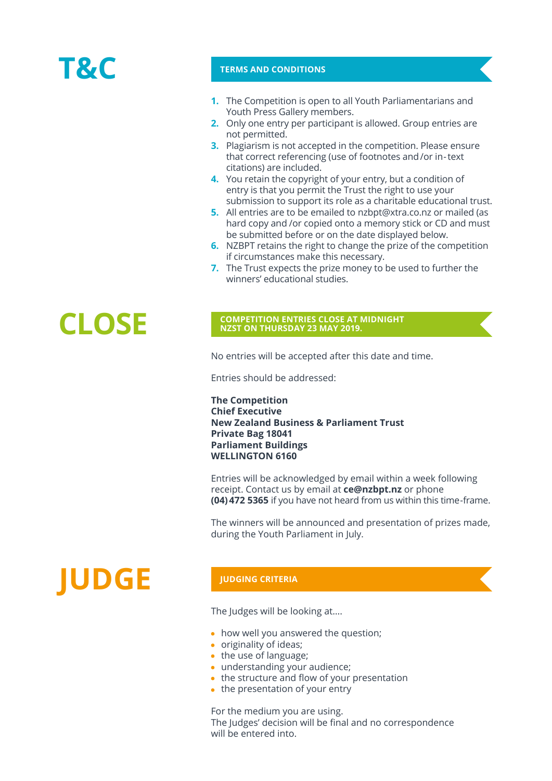### **T&C**

#### **TERMS AND CONDITIONS**

- **1.** The Competition is open to all Youth Parliamentarians and Youth Press Gallery members.
- **2.** Only one entry per participant is allowed. Group entries are not permitted.
- **3.** Plagiarism is not accepted in the competition. Please ensure that correct referencing (use of footnotes and/or in-text citations) are included.
- **4.** You retain the copyright of your entry, but a condition of entry is that you permit the Trust the right to use your submission to support its role as a charitable educational trust.
- All entries are to be emailed to nzbpt@xtra.co.nz or mailed (as **5.** hard copy and /or copied onto a memory stick or CD and must be submitted before or on the date displayed below.
- **6.** NZBPT retains the right to change the prize of the competition if circumstances make this necessary.
- **7.** The Trust expects the prize money to be used to further the winners' educational studies.

### **CLOSE COMPETITION ENTRIES CLOSE AT MIDNIGHT NEST ON THURSDAY 23 MAY 2019. NZST ON THURSDAY 23 MAY 2019.**

No entries will be accepted after this date and time.

Entries should be addressed:

**The Competition Chief Executive New Zealand Business & Parliament Trust Private Bag 18041 Parliament Buildings WELLINGTON 6160**

Entries will be acknowledged by email within a week following receipt. Contact us by email at **ce@nzbpt.nz** or phone **(04) 472 5365** if you have not heard from us within this time-frame.

The winners will be announced and presentation of prizes made, during the Youth Parliament in July.

## **JUDGE**

#### **JUDGING CRITERIA**

The Judges will be looking at….

- how well you answered the question;
- originality of ideas;
- the use of language;
- understanding your audience;
- the structure and flow of your presentation
- $\bullet$  the presentation of your entry

For the medium you are using. The Judges' decision will be final and no correspondence will be entered into.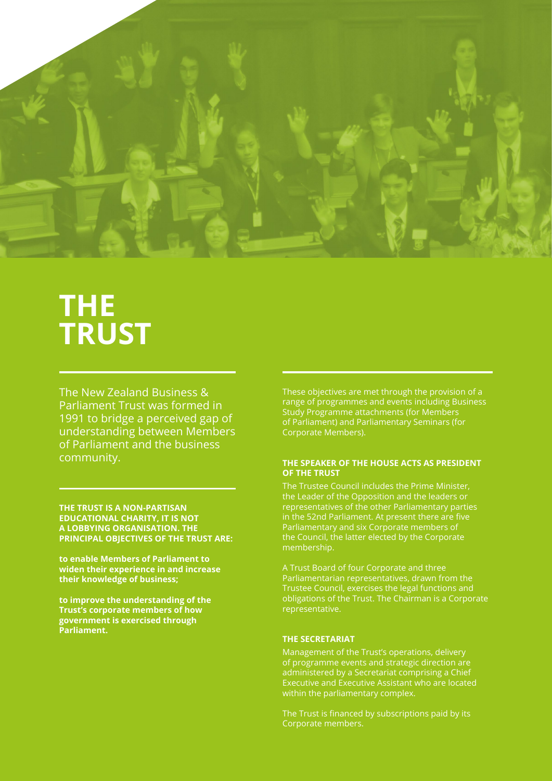

### **THE TRUST**

The New Zealand Business & Parliament Trust was formed in 1991 to bridge a perceived gap of understanding between Members of Parliament and the business community.

**THE TRUST IS A NON-PARTISAN EDUCATIONAL CHARITY, IT IS NOT A LOBBYING ORGANISATION. THE PRINCIPAL OBJECTIVES OF THE TRUST ARE:**

**to enable Members of Parliament to widen their experience in and increase their knowledge of business;**

**to improve the understanding of the Trust's corporate members of how government is exercised through Parliament.**

These objectives are met through the provision of a range of programmes and events including Business Study Programme attachments (for Members of Parliament) and Parliamentary Seminars (for Corporate Members).

#### **THE SPEAKER OF THE HOUSE ACTS AS PRESIDENT OF THE TRUST**

The Trustee Council includes the Prime Minister, the Leader of the Opposition and the leaders or representatives of the other Parliamentary parties in the 52nd Parliament. At present there are five Parliamentary and six Corporate members of the Council, the latter elected by the Corporate membership.

A Trust Board of four Corporate and three Parliamentarian representatives, drawn from the Trustee Council, exercises the legal functions and obligations of the Trust. The Chairman is a Corporate representative.

#### **THE SECRETARIAT**

Management of the Trust's operations, delivery of programme events and strategic direction are administered by a Secretariat comprising a Chief Executive and Executive Assistant who are located within the parliamentary complex.

The Trust is financed by subscriptions paid by its